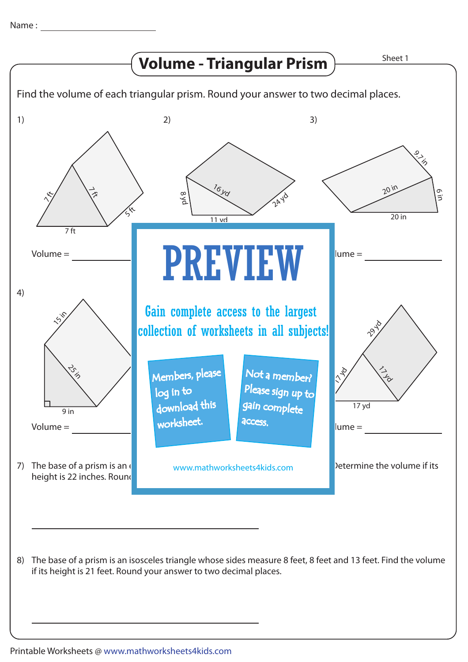